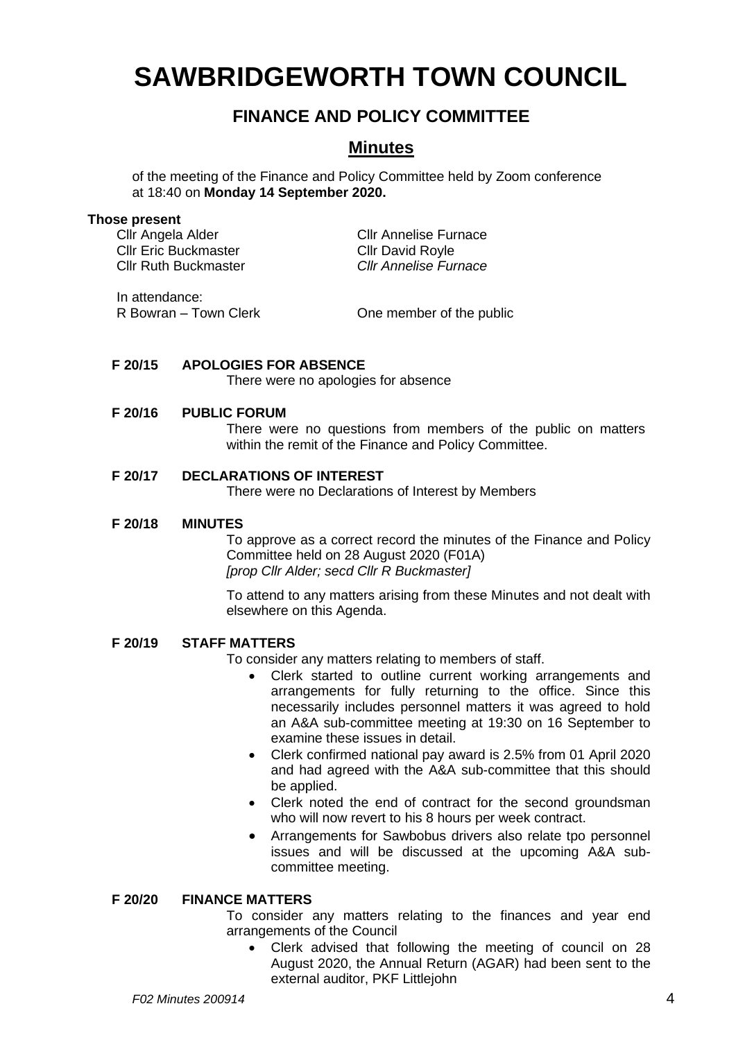# **SAWBRIDGEWORTH TOWN COUNCIL**

# **FINANCE AND POLICY COMMITTEE**

# **Minutes**

of the meeting of the Finance and Policy Committee held by Zoom conference at 18:40 on **Monday 14 September 2020.**

#### **Those present**

Cllr Angela Alder Cllr Annelise Furnace Cllr Eric Buckmaster Cllr David Royle Cllr Ruth Buckmaster *Cllr Annelise Furnace*

In attendance:

R Bowran – Town Clerk Clerk Cheenember of the public

# **F 20/15 APOLOGIES FOR ABSENCE**

There were no apologies for absence

# **F 20/16 PUBLIC FORUM**

There were no questions from members of the public on matters within the remit of the Finance and Policy Committee.

# **F 20/17 DECLARATIONS OF INTEREST**

There were no Declarations of Interest by Members

#### **F 20/18 MINUTES**

To approve as a correct record the minutes of the Finance and Policy Committee held on 28 August 2020 (F01A) *[prop Cllr Alder; secd Cllr R Buckmaster]*

To attend to any matters arising from these Minutes and not dealt with elsewhere on this Agenda.

# **F 20/19 STAFF MATTERS**

To consider any matters relating to members of staff.

- Clerk started to outline current working arrangements and arrangements for fully returning to the office. Since this necessarily includes personnel matters it was agreed to hold an A&A sub-committee meeting at 19:30 on 16 September to examine these issues in detail.
- Clerk confirmed national pay award is 2.5% from 01 April 2020 and had agreed with the A&A sub-committee that this should be applied.
- Clerk noted the end of contract for the second groundsman who will now revert to his 8 hours per week contract.
- Arrangements for Sawbobus drivers also relate tpo personnel issues and will be discussed at the upcoming A&A subcommittee meeting.

# **F 20/20 FINANCE MATTERS**

To consider any matters relating to the finances and year end arrangements of the Council

• Clerk advised that following the meeting of council on 28 August 2020, the Annual Return (AGAR) had been sent to the external auditor, PKF Littlejohn